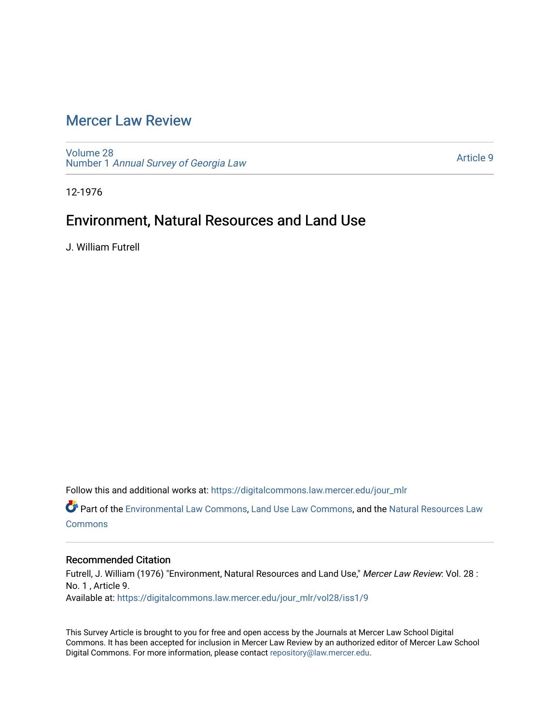## [Mercer Law Review](https://digitalcommons.law.mercer.edu/jour_mlr)

[Volume 28](https://digitalcommons.law.mercer.edu/jour_mlr/vol28) Number 1 [Annual Survey of Georgia Law](https://digitalcommons.law.mercer.edu/jour_mlr/vol28/iss1) 

[Article 9](https://digitalcommons.law.mercer.edu/jour_mlr/vol28/iss1/9) 

12-1976

## Environment, Natural Resources and Land Use

J. William Futrell

Follow this and additional works at: [https://digitalcommons.law.mercer.edu/jour\\_mlr](https://digitalcommons.law.mercer.edu/jour_mlr?utm_source=digitalcommons.law.mercer.edu%2Fjour_mlr%2Fvol28%2Fiss1%2F9&utm_medium=PDF&utm_campaign=PDFCoverPages)

Part of the [Environmental Law Commons](http://network.bepress.com/hgg/discipline/599?utm_source=digitalcommons.law.mercer.edu%2Fjour_mlr%2Fvol28%2Fiss1%2F9&utm_medium=PDF&utm_campaign=PDFCoverPages), [Land Use Law Commons,](http://network.bepress.com/hgg/discipline/852?utm_source=digitalcommons.law.mercer.edu%2Fjour_mlr%2Fvol28%2Fiss1%2F9&utm_medium=PDF&utm_campaign=PDFCoverPages) and the [Natural Resources Law](http://network.bepress.com/hgg/discipline/863?utm_source=digitalcommons.law.mercer.edu%2Fjour_mlr%2Fvol28%2Fiss1%2F9&utm_medium=PDF&utm_campaign=PDFCoverPages) **[Commons](http://network.bepress.com/hgg/discipline/863?utm_source=digitalcommons.law.mercer.edu%2Fjour_mlr%2Fvol28%2Fiss1%2F9&utm_medium=PDF&utm_campaign=PDFCoverPages)** 

### Recommended Citation

Futrell, J. William (1976) "Environment, Natural Resources and Land Use," Mercer Law Review: Vol. 28 : No. 1 , Article 9. Available at: [https://digitalcommons.law.mercer.edu/jour\\_mlr/vol28/iss1/9](https://digitalcommons.law.mercer.edu/jour_mlr/vol28/iss1/9?utm_source=digitalcommons.law.mercer.edu%2Fjour_mlr%2Fvol28%2Fiss1%2F9&utm_medium=PDF&utm_campaign=PDFCoverPages)

This Survey Article is brought to you for free and open access by the Journals at Mercer Law School Digital Commons. It has been accepted for inclusion in Mercer Law Review by an authorized editor of Mercer Law School Digital Commons. For more information, please contact [repository@law.mercer.edu](mailto:repository@law.mercer.edu).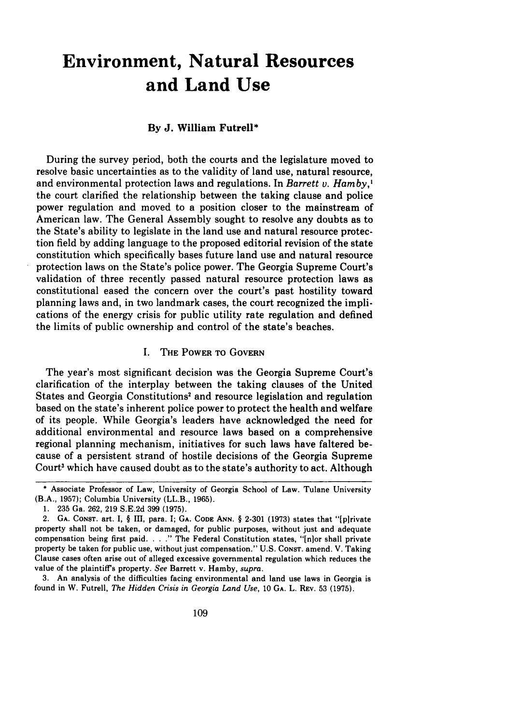# **Environment, Natural Resources and Land Use**

#### **By J. William Futrell\***

During the survey period, both the courts and the legislature moved to resolve basic uncertainties as to the validity of land use, natural resource, and environmental protection laws and regulations. In *Barrett v. Hamby,'* the court clarified the relationship between the taking clause and police power regulation and moved to a position closer to the mainstream of American law. The General Assembly sought to resolve any doubts as to the State's ability to legislate in the land use and natural resource protection field by adding language to the proposed editorial revision of the state constitution which specifically bases future land use and natural resource protection laws on the State's police power. The Georgia Supreme Court's validation of three recently passed natural resource protection laws as constitutional eased the concern over the court's past hostility toward planning laws and, in two landmark cases, the court recognized the implications of the energy crisis for public utility rate regulation and defined the limits of public ownership and control of the state's beaches.

#### I. THE **POWER** TO GOVERN

The year's most significant decision was the Georgia Supreme Court's clarification of the interplay between the taking clauses of the United States and Georgia Constitutions' and resource legislation and regulation based on the state's inherent police power to protect the health and welfare of its people. While Georgia's leaders have acknowledged the need for additional environmental and resource laws based on a comprehensive regional planning mechanism, initiatives for such laws have faltered because of a persistent strand of hostile decisions of the Georgia Supreme Court<sup>3</sup> which have caused doubt as to the state's authority to act. Although

**3.** An analysis of the difficulties facing environmental and land use laws in Georgia is found in **W.** Futrell, *The Hidden Crisis in Georgia Land Use,* 10 **GA.** L. **REV. 53 (1975).**

**<sup>\*</sup>** Associate Professor of Law, University of Georgia School of Law. Tulane University (B.A., **1957);** Columbia University (LL.B., **1965).**

**<sup>1. 235</sup>** Ga. **262, 219** S.E.2d **399 (1975).**

<sup>2.</sup> **GA.** CONST. art. **I,** § III, para. I; **GA.** CODE **ANN.** § 2-301 **(1973)** states that "[p]rivate property shall not be taken, or damaged, for public purposes, without just and adequate compensation being first paid. . . ." The Federal Constitution states, "[n]or shall private property be taken for public use, without just compensation." U.S. CONST. amend. V. Taking Clause cases often arise out of alleged excessive governmental regulation which reduces the value of the plaintiff's property. *See* Barrett v. Hamby, *supra.*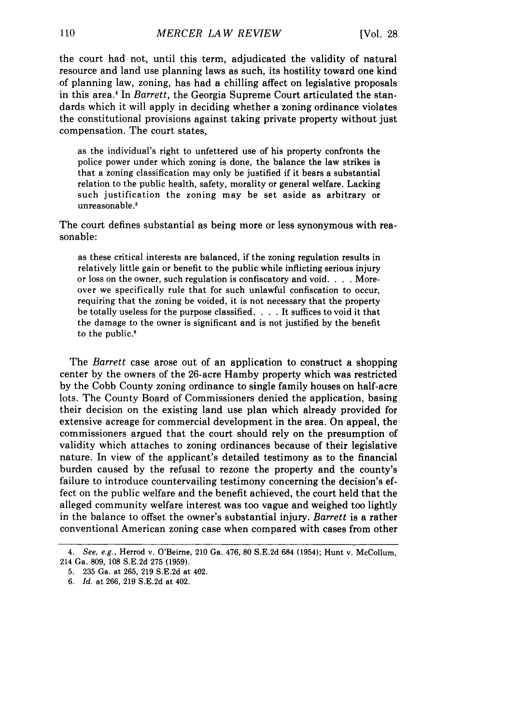the court had not, until this term, adjudicated the validity of natural resource and land use planning laws as such, its hostility toward one kind of planning law, zoning, has had a chilling affect on legislative proposals in this area.4 In *Barrett,* the Georgia Supreme Court articulated the standards which it will apply in deciding whether a zoning ordinance violates the constitutional provisions against taking private property without just compensation. The court states,

as the individual's right to unfettered use of his property confronts the police power under which zoning is done, the balance the law strikes is that a zoning classification may only be justified if it bears a substantial relation to the public health, safety, morality or general welfare. Lacking such justification the zoning may be set aside as arbitrary or unreasonable.'

The court defines substantial as being more or less synonymous with reasonable:

as these critical interests are balanced, if the zoning regulation results in relatively little gain or benefit to the public while inflicting serious injury or loss on the owner, such regulation is confiscatory and void. . **.** . Moreover we specifically rule that for such unlawful confiscation to occur, requiring that the zoning be voided, it is not necessary that the property be totally useless for the purpose classified. . **.** . It suffices to void it that the damage to the owner is significant and is not justified by the benefit to the public.

The *Barrett* case arose out of an application to construct a shopping center by the owners of the 26-acre Hamby property which was restricted by the Cobb County zoning ordinance to single family houses on half-acre lots. The County Board of Commissioners denied the application, basing their decision on the existing land use plan which already provided for extensive acreage for commercial development in the area. On appeal, the commissioners argued that the court should rely on the presumption of validity which attaches to zoning ordinances because of their legislative nature. In view of the applicant's detailed testimony as to the financial burden caused by the refusal to rezone the property and the county's failure to introduce countervailing testimony concerning the decision's effect on the public welfare and the benefit achieved, the court held that the alleged community welfare interest was too vague and weighed too lightly in the balance to offset the owner's substantial injury. *Barrett* is a rather conventional American zoning case when compared with cases from other

*<sup>4.</sup> See, e.g.,* Herrod v. O'Beirne, 210 Ga. 476, 80 S.E.2d 684 (1954); Hunt v. McCollum, 214 Ga. 809, 108 S.E.2d 275 (1959).

<sup>5. 235</sup> Ga. at 265, 219 S.E.2d at 402.

<sup>6.</sup> *Id.* at 266, 219 S.E.2d at 402.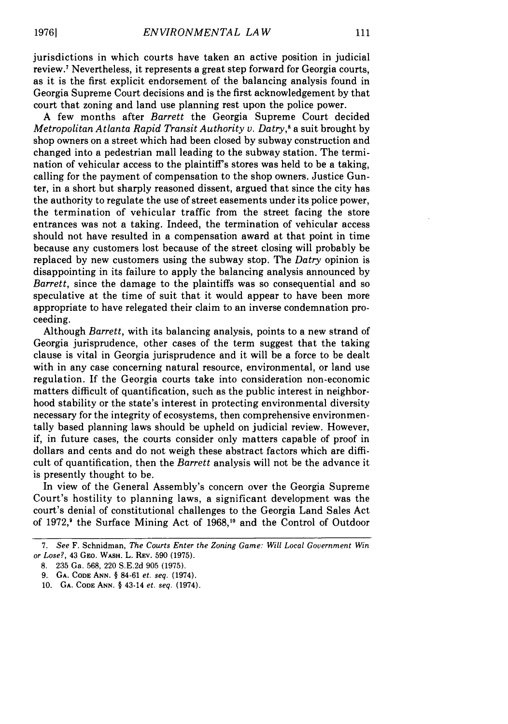jurisdictions in which courts have taken an active position in judicial review.' Nevertheless, it represents a great step forward for Georgia courts, as it is the first explicit endorsement of the balancing analysis found in Georgia Supreme Court decisions and is the first acknowledgement by that court that zoning and land use planning rest upon the police power.

A few months after *Barrett* the Georgia Supreme Court decided *Metropolitan Atlanta Rapid Transit Authority v. Datry*,<sup>8</sup> a suit brought by shop owners on a street which had been closed by subway construction and changed into a pedestrian mall leading to the subway station. The termination of vehicular access to the plaintiff's stores was held to be a taking, calling for the payment of compensation to the shop owners. Justice Gunter, in a short but sharply reasoned dissent, argued that since the city has the authority to regulate the use of street easements under its police power, the termination of vehicular traffic from the street facing the store entrances was not a taking. Indeed, the termination of vehicular access should not have resulted in a compensation award at that point in time because any customers lost because of the street closing will probably be replaced by new customers using the subway stop. The *Datry* opinion is disappointing in its failure to apply the balancing analysis announced by *Barrett,* since the damage to the plaintiffs was so consequential and so speculative at the time of suit that it would appear to have been more appropriate to have relegated their claim to an inverse condemnation proceeding.

Although *Barrett,* with its balancing analysis, points to a new strand of Georgia jurisprudence, other cases of the term suggest that the taking clause is vital in Georgia jurisprudence and it will be a force to be dealt with in any case concerning natural resource, environmental, or land use regulation. If the Georgia courts take into consideration non-economic matters difficult of quantification, such as the public interest in neighborhood stability or the state's interest in protecting environmental diversity necessary for the integrity of ecosystems, then comprehensive environmentally based planning laws should be upheld on judicial review. However, if, in future cases, the courts consider only matters capable of proof in dollars and cents and do not weigh these abstract factors which are difficult of quantification, then the *Barrett* analysis will not be the advance it is presently thought to be.

In view of the General Assembly's concern over the Georgia Supreme Court's hostility to planning laws, a significant development was the court's denial of constitutional challenges to the Georgia Land Sales Act of 1972,' the Surface Mining Act of 1968,10 and the Control of Outdoor

<sup>7.</sup> See F. Schnidman, *The Courts Enter the Zoning Game: Will Local Government Win* or *Lose?,* 43 **GEo.** WASH. L. REV. 590 (1975).

<sup>8. 235</sup> Ga. 568, 220 S.E.2d 905 (1975).

<sup>9.</sup> **GA. CODE ANN.** § 84-61 *et. seq.* (1974).

**<sup>10.</sup> GA. CODE ANN.** § 43-14 *et. seq.* (1974).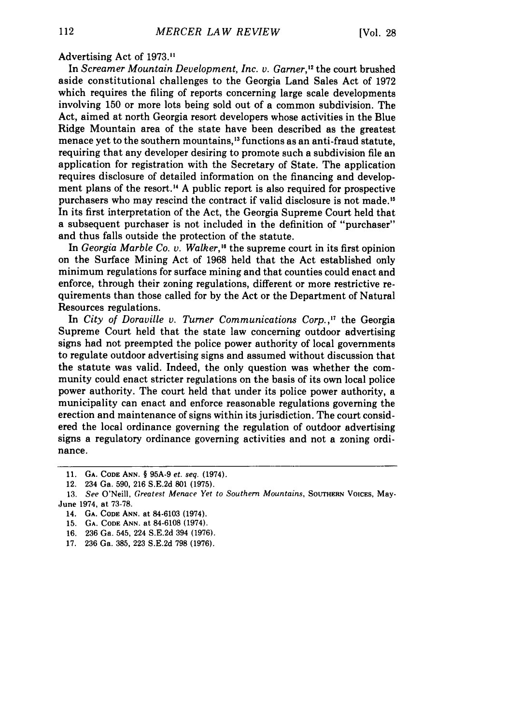Advertising Act of 1973."

In *Screamer Mountain Development, Inc. v. Garner*,<sup>12</sup> the court brushed aside constitutional challenges to the Georgia Land Sales Act of 1972 which requires the filing of reports concerning large scale developments involving 150 or more lots being sold out of a common subdivision. The Act, aimed at north Georgia resort developers whose activities in the Blue Ridge Mountain area of the state have been described as the greatest menace yet to the southern mountains, 13 functions as an anti-fraud statute, requiring that any developer desiring to promote such a subdivision file an application for registration with the Secretary of State. The application requires disclosure of detailed information on the financing and development plans of the resort.<sup>14</sup> A public report is also required for prospective purchasers who may rescind the contract if valid disclosure is not made.<sup>15</sup> In its first interpretation of the Act, the Georgia Supreme Court held that a subsequent purchaser is not included in the definition of "purchaser" and thus falls outside the protection of the statute.

In *Georgia Marble Co. v. Walker,"* the supreme court in its first opinion on the Surface Mining Act of 1968 held that the Act established only minimum regulations for surface mining and that counties could enact and enforce, through their zoning regulations, different or more restrictive requirements than those called for by the Act or the Department of Natural Resources regulations.

In *City of Doraville v. Turner Communications Corp.,"* the Georgia Supreme Court held that the state law concerning outdoor advertising signs had not preempted the police power authority of local governments to regulate outdoor advertising signs and assumed without discussion that the statute was valid. Indeed, the only question was whether the community could enact stricter regulations on the basis of its own local police power authority. The court held that under its police power authority, a municipality can enact and enforce reasonable regulations governing the erection and maintenance of signs within its jurisdiction. The court considered the local ordinance governing the regulation of outdoor advertising signs a regulatory ordinance governing activities and not a zoning ordinance.

**<sup>11.</sup> GA. CODE ANN.** § **95A-9** *et. seq.* (1974).

<sup>12. 234</sup> Ga. **590, 216 S.E.2d 801 (1975).**

**<sup>13.</sup>** *See* O'Neill, *Greatest Menace Yet to Southern Mountains,* **SOUTHERN VOICES,** May-**June** 1974, at **73-78.**

**<sup>14.</sup> GA. CODE ANN.** at **84-6103 (1974).**

**<sup>15.</sup> GA. CODE ANN. at 84-6108 (1974).**

**<sup>16.</sup> 236 Ga.** 545, **224 S.E.2d** 394 **(1976).**

**<sup>17. 236</sup>** Ga. **385, 223 S.E.2d 798 (1976).**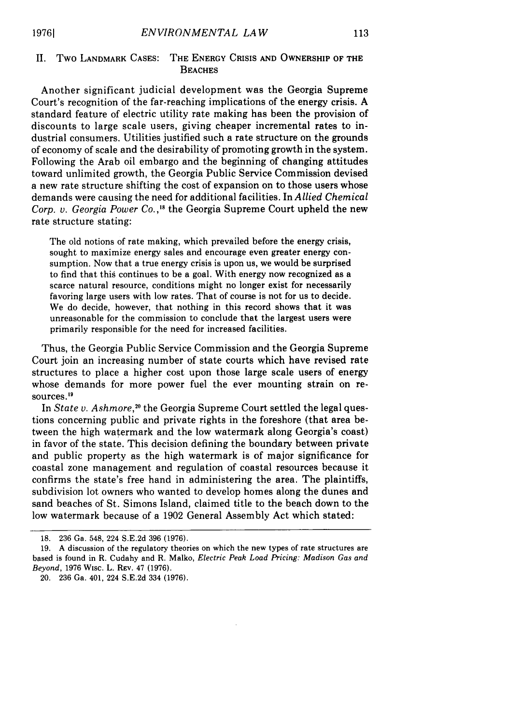#### **II.** Two LANDMARK CASES: THE ENERGY CRISIS AND OWNERSHIP OF THE **BEACHES**

Another significant judicial development was the Georgia Supreme Court's recognition of the far-reaching implications of the energy crisis. A standard feature of electric utility rate making has been the provision of discounts to large scale users, giving cheaper incremental rates to industrial consumers. Utilities justified such a rate structure on the grounds of economy of scale and the desirability of promoting growth in the system. Following the Arab oil embargo and the beginning of changing attitudes toward unlimited growth, the Georgia Public Service Commission devised a new rate structure shifting the cost of expansion on to those users whose demands were causing the need for additional facilities. In *Allied Chemical Corp. v. Georgia Power Co.,"5* the Georgia Supreme Court upheld the new rate structure stating:

The old notions of rate making, which prevailed before the energy crisis, sought to maximize energy sales and encourage even greater energy consumption. Now that a true energy crisis is upon us, we would be surprised to find that this continues to be a goal. With energy now recognized as a scarce natural resource, conditions might no longer exist for necessarily favoring large users with low rates. That of course is not for us to decide. We do decide, however, that nothing in this record shows that it was unreasonable for the commission to conclude that the largest users were primarily responsible for the need for increased facilities.

Thus, the Georgia Public Service Commission and the Georgia Supreme Court join an increasing number of state courts which have revised rate structures to place a higher cost upon those large scale users of energy whose demands for more power fuel the ever mounting strain on resources.'<sup>9</sup>

In *State v. Ashmore*,<sup>20</sup> the Georgia Supreme Court settled the legal questions concerning public and private rights in the foreshore (that area between the high watermark and the low watermark along Georgia's coast) in favor of the state. This decision defining the boundary between private and public property as the high watermark is of major significance for coastal zone management and regulation of coastal resources because it confirms the state's free hand in administering the area. The plaintiffs, subdivision lot owners who wanted to develop homes along the dunes and sand beaches of St. Simons Island, claimed title to the beach down to the low watermark because of a 1902 General Assembly Act which stated:

<sup>18. 236</sup> Ga. 548, 224 S.E.2d 396 (1976).

<sup>19.</sup> A discussion of the regulatory theories on which the new types of rate structures are based is found in R. Cudahy and R. Malko, *Electric Peak Load Pricing: Madison Gas and Beyond,* 1976 Wisc. L. REV. 47 (1976).

<sup>20. 236</sup> Ga. 401, 224 S.E.2d 334 (1976).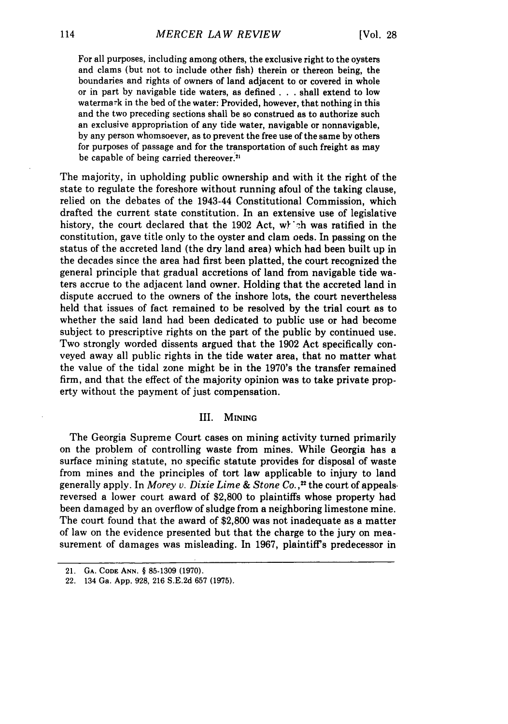For all purposes, including among others, the exclusive right to the oysters and clams (but not to include other fish) therein or thereon being, the boundaries and rights of owners of land adjacent to or covered in whole or in part **by** navigable tide waters, as defined **. . .** shall extend to low watermark in the bed of the water: Provided, however, that nothing in this and the two preceding sections shall be so construed as to authorize such an exclusive appropriation of any tide water, navigable or nonnavigable, **by** any person whomsoever, as to prevent the free use of the same **by** others for purposes of passage and for the transportation of such freight as may be capable of being carried thereover.<sup>21</sup>

The majority, in upholding public ownership and with it the right of the state to regulate the foreshore without running afoul of the taking clause, relied on the debates of the 1943-44 Constitutional Commission, which drafted the current state constitution. In an extensive use of legislative history, the court declared that the **1902** Act, w) **\*'h** was ratified in the constitution, gave title only to the oyster and clam oeds. In passing on the status of the accreted land (the dry land area) which had been built up in the decades since the area had first been platted, the court recognized the general principle that gradual accretions of land from navigable tide waters accrue to the adjacent land owner. Holding that the accreted land in dispute accrued to the owners of the inshore lots, the court nevertheless held that issues of fact remained to be resolved **by** the trial court as to whether the said land had been dedicated to public use or had become subject to prescriptive rights on the part of the public **by** continued use. Two strongly worded dissents argued that the **1902** Act specifically conveyed away all public rights in the tide water area, that no matter what the value of the tidal zone might be in the 1970's the transfer remained firm, and that the effect of the majority opinion was to take private property without the payment of just compensation.

#### **III. MINING**

The Georgia Supreme Court cases on mining activity turned primarily on the problem of controlling waste from mines. While Georgia has a surface mining statute, no specific statute provides for disposal of waste from mines and the principles of tort law applicable to injury to land generally apply. In *Morey v. Dixie Lime & Stone Co. ,2* the court of appealsreversed a lower court award of \$2,800 to plaintiffs whose property had been damaged by an overflow of sludge from a neighboring limestone mine. The court found that the award of \$2,800 was not inadequate as a matter of law on the evidence presented but that the charge to the jury on measurement of damages was misleading. In 1967, plaintiff's predecessor in

<sup>21.</sup> **GA. CODE ANN.** § 85-1309 (1970).

<sup>22. 134</sup> Ga. App. 928, 216 S.E.2d **657** (1975).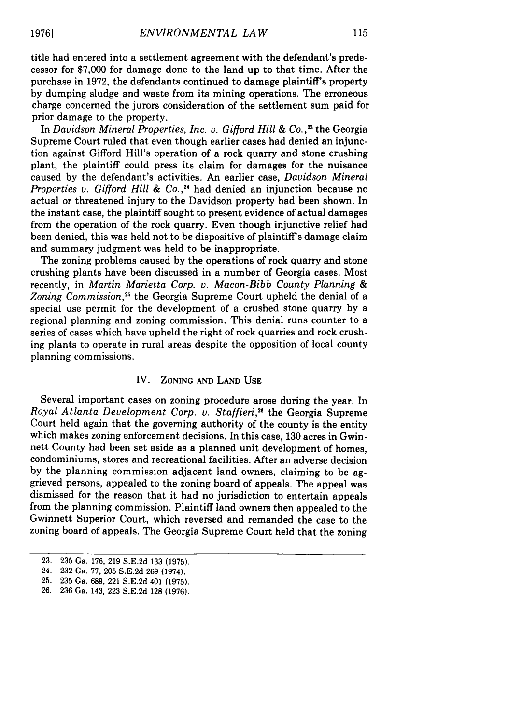title had entered into a settlement agreement with the defendant's predecessor for \$7,000 for damage done to the land up to that time. After the purchase in 1972, the defendants continued to damage plaintiff's property by dumping sludge and waste from its mining operations. The erroneous charge concerned the jurors consideration of the settlement sum paid for prior damage to the property.

In *Davidson Mineral Properties, Inc. v. Gifford Hill & Co.*<sup>23</sup> the Georgia Supreme Court ruled that even though earlier cases had denied an injunction against Gifford Hill's operation of a rock quarry and stone crushing plant, the plaintiff could press its claim for damages for the nuisance caused by the defendant's activities. An earlier case, *Davidson Mineral Properties v. Gifford Hill & Co.*,<sup>24</sup> had denied an injunction because no actual or threatened injury to the Davidson property had been shown. In the instant case, the plaintiff sought to present evidence of actual damages from the operation of the rock quarry. Even though injunctive relief had been denied, this was held not to be dispositive of plaintiff's damage claim and summary judgment was held to be inappropriate.

The zoning problems caused by the operations of rock quarry and stone crushing plants have been discussed in a number of Georgia cases. Most recently, in *Martin Marietta Corp. v. Macon-Bibb County Planning & Zoning Commission,25* the Georgia Supreme Court upheld the denial of a special use permit for the development of a crushed stone quarry by a regional planning and zoning commission. This denial runs counter to a series of cases which have upheld the right of rock quarries and rock crushing plants to operate in rural areas despite the opposition of local county planning commissions.

#### IV. **ZONING AND LAND USE**

Several important cases on zoning procedure arose during the year. In *Royal Atlanta Development Corp. v. Staffieri,26* the Georgia Supreme Court held again that the governing authority of the county is the entity which makes zoning enforcement decisions. In this case, **130** acres in Gwinnett County had been set aside as a planned unit development of homes, condominiums, stores and recreational facilities. After an adverse decision **by** the planning commission adjacent land owners, claiming to be aggrieved persons, appealed to the zoning board of appeals. The appeal was dismissed for the reason that it had no jurisdiction to entertain appeals from the planning commission. Plaintiff land owners then appealed to the Gwinnett Superior Court, which reversed and remanded the case to the zoning board of appeals. The Georgia Supreme Court held that the zoning

**<sup>23. 235</sup> Ga. 176, 219 S.E.2d 133 (1975).**

**<sup>24. 232</sup> Ga. 77, 205 S.E.2d 269 (1974).**

**<sup>25. 235</sup> Ga. 689, 221 S.E.2d 401 (1975).**

**<sup>26. 236</sup> Ga. 143, 223 S.E.2d 128 (1976).**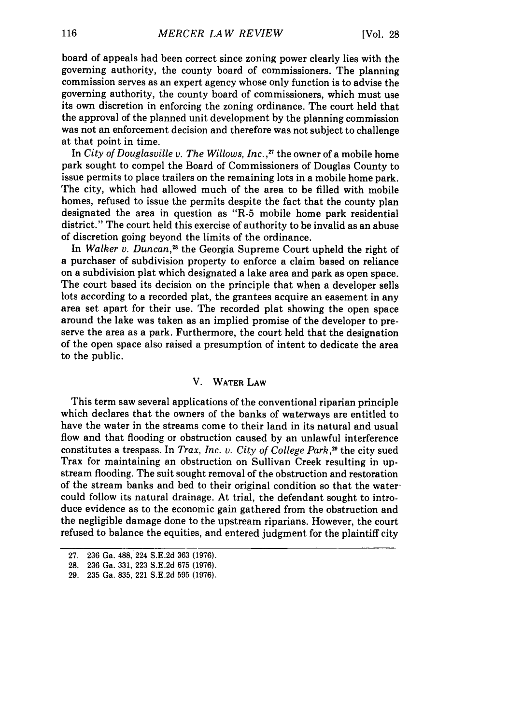board of appeals had been correct since zoning power clearly lies with the governing authority, the county board of commissioners. The planning commission serves as an expert agency whose only function is to advise the governing authority, the county board of commissioners, which must use its own discretion in enforcing the zoning ordinance. The court held that the approval of the planned unit development by the planning commission was not an enforcement decision and therefore was not subject to challenge at that point in time.

In *City of Douglasville v. The Willows, Inc. ,"7* the owner of a mobile home park sought to compel the Board of Commissioners of Douglas County to issue permits to place trailers on the remaining lots in a mobile home park. The city, which had allowed much of the area to be filled with mobile homes, refused to issue the permits despite the fact that the county plan designated the area in question as "R-5 mobile home park residential district." The court held this exercise of authority to be invalid as an abuse of discretion going beyond the limits of the ordinance.

In *Walker v. Duncan,28* the Georgia Supreme Court upheld the right of a purchaser of subdivision property to enforce a claim based on reliance on a subdivision plat which designated a lake area and park as open space. The court based its decision on the principle that when a developer sells lots according to a recorded plat, the grantees acquire an easement in any area set apart for their use. The recorded plat showing the open space around the lake was taken as an implied promise of the developer to preserve the area as a park. Furthermore, the court held that the designation of the open space also raised a presumption of intent to dedicate the area to the public.

#### V. WATER LAW

This term saw several applications of the conventional riparian principle which declares that the owners of the banks of waterways are entitled to have the water in the streams come to their land in its natural and usual flow and that flooding or obstruction caused by an unlawful interference constitutes a trespass. In *Trax, Inc. v. City of College Park,29* the city sued Trax for maintaining an obstruction on Sullivan Creek resulting in upstream flooding. The suit sought removal of the obstruction and restoration of the stream banks and bed to their original condition so that the watercould follow its natural drainage. At trial, the defendant sought to introduce evidence as to the economic gain gathered from the obstruction and the negligible damage done to the upstream riparians. However, the court refused to balance the equities, and entered judgment for the plaintiff city

<sup>27. 236</sup> Ga. 488, 224 S.E.2d 363 (1976).

<sup>28. 236</sup> Ga. 331, 223 S.E.2d 675 (1976).

<sup>29. 235</sup> Ga. 835, 221 S.E.2d 595 (1976).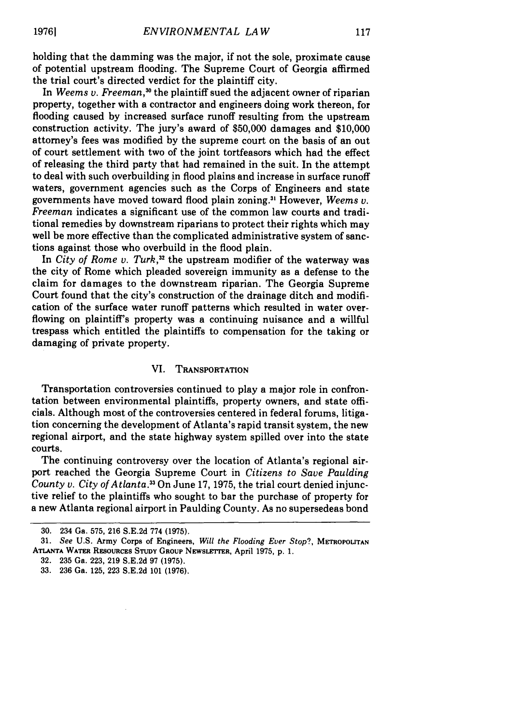holding that the damming was the major, if not the sole, proximate cause of potential upstream flooding. The Supreme Court of Georgia affirmed the trial court's directed verdict for the plaintiff city.

In *Weems v. Freeman*,<sup>30</sup> the plaintiff sued the adjacent owner of riparian property, together with a contractor and engineers doing work thereon, for flooding caused by increased surface runoff resulting from the upstream construction activity. The jury's award of \$50,000 damages and \$10,000 attorney's fees was modified by the supreme court on the basis of an out of court settlement with two of the joint tortfeasors which had the effect of releasing the third party that had remained in the suit. In the attempt to deal with such overbuilding in flood plains and increase in surface runoff waters, government agencies such as the Corps of Engineers and state governments have moved toward flood plain zoning.3 However, *Weems v. Freeman* indicates a significant use of the common law courts and traditional remedies by downstream riparians to protect their rights which may well be more effective than the complicated administrative system of sanctions against those who overbuild in the flood plain.

In *City of Rome v. Turk*,<sup>32</sup> the upstream modifier of the waterway was the city of Rome which pleaded sovereign immunity as a defense to the claim for damages to the downstream riparian. The Georgia Supreme Court found that the city's construction of the drainage ditch and modification of the surface water runoff patterns which resulted in water overflowing on plaintiff's property was a continuing nuisance and a willful trespass which entitled the plaintiffs to compensation for the taking or damaging of private property.

#### VI. **TRANSPORTATION**

Transportation controversies continued to play a major role in confrontation between environmental plaintiffs, property owners, and state officials. Although most of the controversies centered in federal forums, litigation concerning the development of Atlanta's rapid transit system, the new regional airport, and the state highway system spilled over into the state courts.

The continuing controversy over the location of Atlanta's regional airport reached the Georgia Supreme Court in *Citizens to Save Paulding County v. City of Atlanta.*<sup>33</sup> On June 17, 1975, the trial court denied injunctive relief to the plaintiffs who sought to bar the purchase of property for a new Atlanta regional airport in Paulding County. As no supersedeas bond

<sup>30. 234</sup> Ga. 575, 216 S.E.2d 774 (1975).

**<sup>31.</sup>** *See* **U.S.** Army Corps of Engineers, *Will the Flooding Ever Stop?,* METROPOLITAN **ATLANTA WATER RESOURCES STUDY GROUP NEWSLETTER,** April **1975, p. 1.**

**<sup>32. 235</sup>** Ga. **223, 219 S.E.2d 97 (1975).**

**<sup>33. 236</sup>** Ga. **125, 223 S.E.2d 101 (1976).**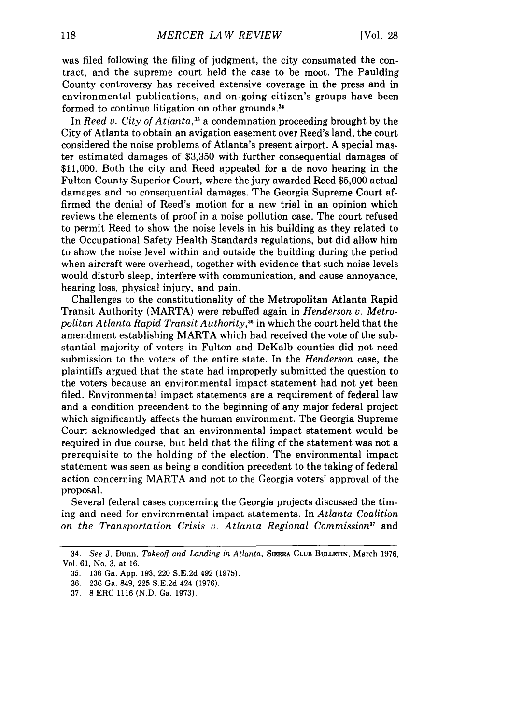was filed following the filing of judgment, the city consumated the contract, and the supreme court held the case to be moot. The Paulding County controversy has received extensive coverage in the press and in environmental publications, and on-going citizen's groups have been formed to continue litigation on other grounds **. 3**

In *Reed v. City of Atlanta,35* a condemnation proceeding brought **by** the City of Atlanta to obtain an avigation easement over Reed's land, the court considered the noise problems of Atlanta's present airport. A special master estimated damages of \$3,350 with further consequential damages of \$11,000. Both the city and Reed appealed for a de novo hearing in the Fulton County Superior Court, where the jury awarded Reed \$5,000 actual damages and no consequential damages. The Georgia Supreme Court affirmed the denial of Reed's motion for a new trial in an opinion which reviews the elements of proof in a noise pollution case. The court refused to permit Reed to show the noise levels in his building as they related to the Occupational Safety Health Standards regulations, but did allow him to show the noise level within and outside the building during the period when aircraft were overhead, together with evidence that such noise levels would disturb sleep, interfere with communication, and cause annoyance, hearing loss, physical injury, and pain.

Challenges to the constitutionality of the Metropolitan Atlanta Rapid Transit Authority (MARTA) were rebuffed again in *Henderson v. Metropolitan Atlanta Rapid Transit Authority,36* in which the court held that the amendment establishing MARTA which had received the vote of the substantial majority of voters in Fulton and DeKalb counties did not need submission to the voters of the entire state. In the *Henderson* case, the plaintiffs argued that the state had improperly submitted the question to the voters because an environmental impact statement had not yet been filed. Environmental impact statements are a requirement of federal law and a condition precendent to the beginning of any major federal project which significantly affects the human environment. The Georgia Supreme Court acknowledged that an environmental impact statement would be required in due course, but held that the filing of the statement was not a prerequisite to the holding of the election. The environmental impact statement was seen as being a condition precedent to the taking of federal action concerning MARTA and not to the Georgia voters' approval of the proposal.

Several federal cases concerning the Georgia projects discussed the timing and need for environmental impact statements. In *Atlanta Coalition on the Transportation Crisis v. Atlanta Regional Commission37* and

<sup>34.</sup> *See* J. Dunn, *Takeoff and Landing in Atlanta,* **SIERRA CLUB BULLETIN,** March 1976, Vol. 61, No. 3, at 16.

<sup>35. 136</sup> Ga. App. 193, 220 S.E.2d 492 (1975).

<sup>36. 236</sup> Ga. 849, 225 S.E.2d 424 (1976).

<sup>37. 8</sup> ERC 1116 (N.D. Ga. 1973).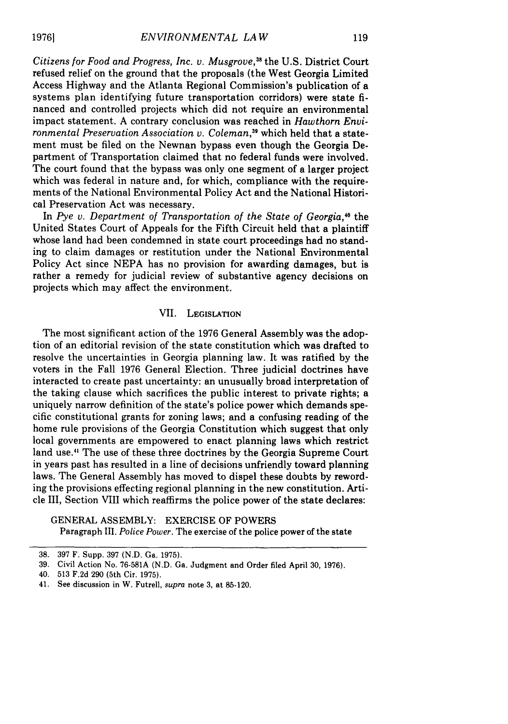*Citizens for Food and Progress, Inc. v. Musgrove,38* the U.S. District Court refused relief on the ground that the proposals (the West Georgia Limited Access Highway and the Atlanta Regional Commission's publication of a systems plan identifying future transportation corridors) were state financed and controlled projects which did not require an environmental impact statement. A contrary conclusion was reached in *Hawthorn Environmental Preservation Association v. Coleman,39* which held that a statement must be filed on the Newnan bypass even though the Georgia Department of Transportation claimed that no federal funds were involved. The court found that the bypass was only one segment of a larger project which was federal in nature and, for which, compliance with the requirements of the National Environmental Policy Act and the National Historical Preservation Act was necessary.

In Pye v. Department of Transportation of the State of Georgia,<sup>40</sup> the United States Court of Appeals for the Fifth Circuit held that a plaintiff whose land had been condemned in state court proceedings had no standing to claim damages or restitution under the National Environmental Policy Act since NEPA has no provision for awarding damages, but is rather a remedy for judicial review of substantive agency decisions on projects which may affect the environment.

#### VII. LEGISLATION

The most significant action of the 1976 General Assembly was the adoption of an editorial revision of the state constitution which was drafted to resolve the uncertainties in Georgia planning law. It was ratified by the voters in the Fall 1976 General Election. Three judicial doctrines have interacted to create past uncertainty: an unusually broad interpretation of the taking clause which sacrifices the public interest to private rights; a uniquely narrow definition of the state's police power which demands specific constitutional grants for zoning laws; and a confusing reading of the home rule provisions of the Georgia Constitution which suggest that only local governments are empowered to enact planning laws which restrict land use." The use of these three doctrines by the Georgia Supreme Court in years past has resulted in a line of decisions unfriendly toward planning laws. The General Assembly has moved to dispel these doubts by rewording the provisions effecting regional planning in the new constitution. Article III, Section VIII which reaffirms the police power of the state declares:

#### GENERAL ASSEMBLY: EXERCISE OF POWERS

Paragraph III. *Police Power.* The exercise of the police power of the state

**19761**

<sup>38. 397</sup> F. Supp. 397 (N.D. Ga. 1975).

<sup>39.</sup> Civil Action No. 76-581A (N.D. Ga. Judgment and Order filed April 30, 1976).

<sup>40. 513</sup> F.2d 290 (5th Cir. 1975).

<sup>41.</sup> See discussion in W. Futrell, supra note 3, at 85-120.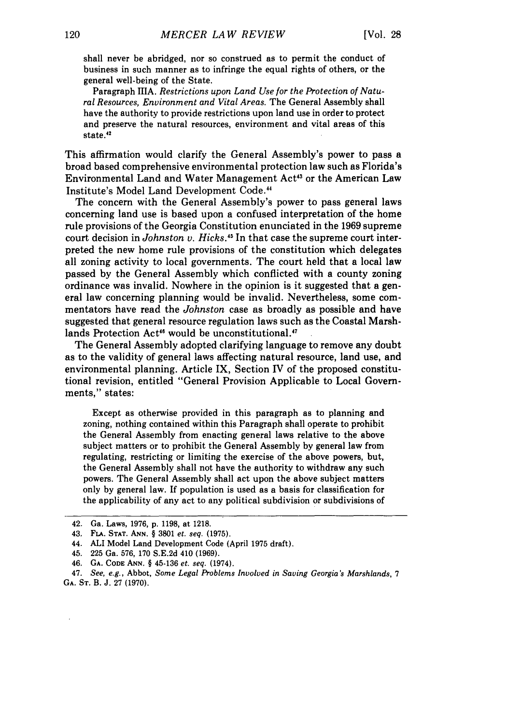shall never be abridged, nor so construed as to permit the conduct of business in such manner as to infringe the equal rights of others, or the general well-being of the State.

Paragraph **HIA.** *Restrictions upon Land Use for the Protection of Natural Resources, Environment and Vital Areas.* The General Assembly shall have the authority to provide restrictions upon land use in order to protect and preserve the natural resources, environment and vital areas of this state.<sup>42</sup>

This affirmation would clarify the General Assembly's power to pass a broad based comprehensive environmental protection law such as Florida's Environmental Land and Water Management Act<sup>43</sup> or the American Law Institute's Model Land Development Code."

The concern with the General Assembly's power to pass general laws concerning land use is based upon a confused interpretation of the home rule provisions of the Georgia Constitution enunciated in the 1969 supreme court decision in *Johnston v. Hicks.4 <sup>5</sup>*In that case the supreme court interpreted the new home rule provisions of the constitution which delegates all zoning activity to local governments. The court held that a local law passed by the General Assembly which conflicted with a county zoning ordinance was invalid. Nowhere in the opinion is it suggested that a general law concerning planning would be invalid. Nevertheless, some commentators have read the *Johnston* case as broadly as possible and have suggested that general resource regulation laws such as the Coastal Marshlands Protection Act<sup>46</sup> would be unconstitutional.<sup>47</sup>

The General Assembly adopted clarifying language to remove any doubt as to the validity of general laws affecting natural resource, land use, and environmental planning. Article IX, Section IV of the proposed constitutional revision, entitled "General Provision Applicable to Local Governments," states:

Except as otherwise provided in this paragraph as to planning and zoning, nothing contained within this Paragraph shall operate to prohibit the General Assembly from enacting general laws relative to the above subject matters or to prohibit the General Assembly by general law from regulating, restricting or limiting the exercise of the above powers, but, the General Assembly shall not have the authority to withdraw any such powers. The General Assembly shall act upon the above subject matters only by general law. If population is used as a basis for classification for the applicability of any act to any political subdivision or subdivisions of

47. *See, e.g.,* Abbot, *Some Legal Problems Involved in Saving Georgia's Marshlands, 7* GA. **ST.** B. J. 27 (1970).

<sup>42.</sup> Ga. Laws, 1976, p. 1198, at 1218.

<sup>43.</sup> **FLA. STAT. ANN.** § 3801 *et. seq.* **(1975).**

<sup>44.</sup> ALI Model Land Development Code (April 1975 draft).

<sup>45. 225</sup> Ga. 576, 170 S.E.2d 410 (1969).

<sup>46.</sup> GA. **CODE ANN.** § 45-136 *et. seq.* (1974).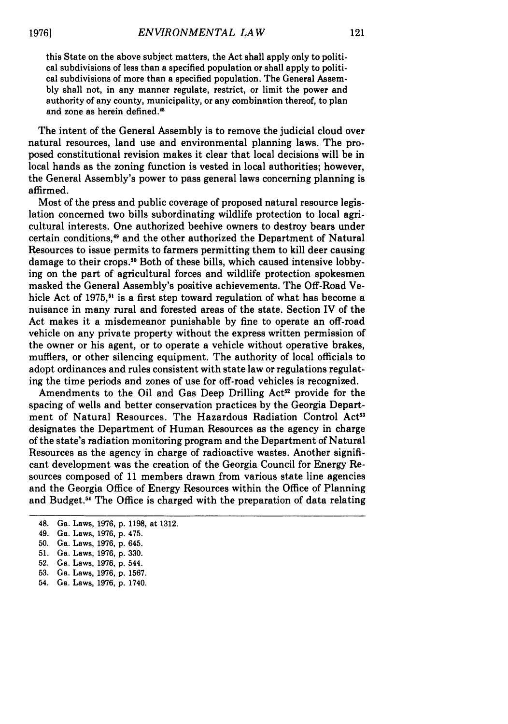this State on the above subject matters, the Act shall apply only to political subdivisions of less than a specified population or shall apply to political subdivisions of more than a specified population. The General Assembly shall not, in any manner regulate, restrict, or limit the power and authority of any county, municipality, or any combination thereof, to plan and zone as herein defined.'

The intent of the General Assembly is to remove the judicial cloud over natural resources, land use and environmental planning laws. The proposed constitutional revision makes it clear that local decisions will be in local hands as the zoning function is vested in local authorities; however, the General Assembly's power to pass general laws concerning planning is affirmed.

Most of the press and public coverage of proposed natural resource legislation concerned two bills subordinating wildlife protection to local agricultural interests. One authorized beehive owners to destroy bears under certain conditions,<sup>49</sup> and the other authorized the Department of Natural Resources to issue permits to farmers permitting them to kill deer causing damage to their crops.<sup>50</sup> Both of these bills, which caused intensive lobbying on the part of agricultural forces and wildlife protection spokesmen masked the General Assembly's positive achievements. The Off-Road Vehicle Act of 1975,<sup>51</sup> is a first step toward regulation of what has become a nuisance in many rural and forested areas of the state. Section IV of the Act makes it a misdemeanor punishable by fine to operate an off-road vehicle on any private property without the express written permission of the owner or his agent, or to operate a vehicle without operative brakes, mufflers, or other silencing equipment. The authority of local officials to adopt ordinances and rules consistent with state law or regulations regulating the time periods and zones of use for off-road vehicles is recognized.

Amendments to the Oil and Gas Deep Drilling  $Act^{52}$  provide for the spacing of wells and better conservation practices by the Georgia Department of Natural Resources. The Hazardous Radiation Control Act<sup>53</sup> designates the Department of Human Resources as the agency in charge of the state's radiation monitoring program and the Department of Natural Resources as the agency in charge of radioactive wastes. Another significant development was the creation of the Georgia Council for Energy Resources composed of 11 members drawn from various state line agencies and the Georgia Office of Energy Resources within the Office of Planning and Budget.<sup>54</sup> The Office is charged with the preparation of data relating

- 49. Ga. Laws, 1976, p. 475.
- **50.** Ga. Laws, 1976, p. 645.
- 51. Ga. Laws, 1976, p. 330.
- 52. Ga. Laws, 1976, p. 544.
- **53.** Ga. Laws, 1976, p. 1567.
- 54. Ga. Laws, 1976, p. 1740.

<sup>48.</sup> Ga. Laws, 1976, p. 1198, at **1312.**